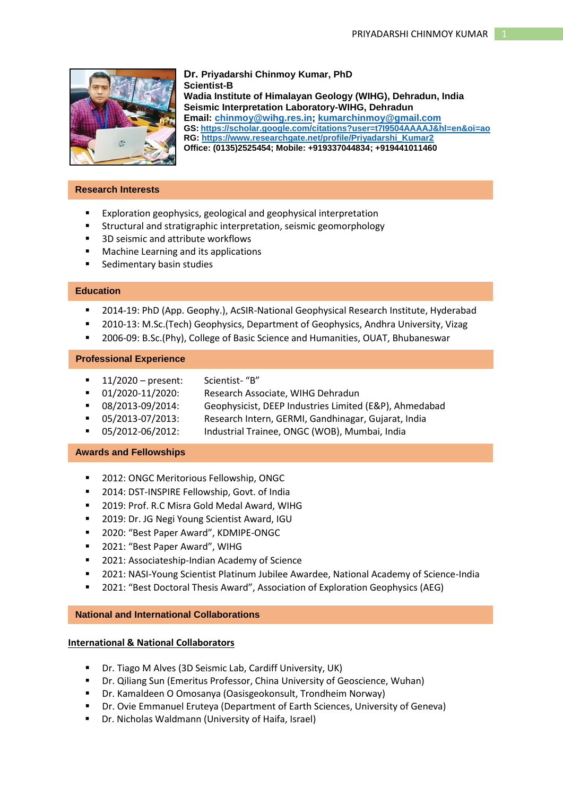

# **Dr. Priyadarshi Chinmoy Kumar, PhD Scientist-B Wadia Institute of Himalayan Geology (WIHG), Dehradun, India Seismic Interpretation Laboratory-WIHG, Dehradun**

**Email: [chinmoy@wihg.res.in;](mailto:chinmoy@wihg.res.in) [kumarchinmoy@gmail.com](mailto:kumarchinmoy@gmail.com) GS: <https://scholar.google.com/citations?user=t7I9504AAAAJ&hl=en&oi=ao> RG: [https://www.researchgate.net/profile/Priyadarshi\\_Kumar2](https://www.researchgate.net/profile/Priyadarshi_Kumar2) Office: (0135)2525454; Mobile: +919337044834; +919441011460**

### **Research Interests**

- **Exploration geophysics, geological and geophysical interpretation**
- **EXTERGHTM** Structural and stratigraphic interpretation, seismic geomorphology
- 3D seismic and attribute workflows
- **Machine Learning and its applications**
- **Sedimentary basin studies**

### **Education**

- 2014-19: PhD (App. Geophy.), AcSIR-National Geophysical Research Institute, Hyderabad
- 2010-13: M.Sc.(Tech) Geophysics, Department of Geophysics, Andhra University, Vizag
- 2006-09: B.Sc.(Phy), College of Basic Science and Humanities, OUAT, Bhubaneswar

### **Professional Experience**

- $\blacksquare$  11/2020 present: Scientist- "B"
- **01/2020-11/2020:** Research Associate, WIHG Dehradun
- 08/2013-09/2014: Geophysicist, DEEP Industries Limited (E&P), Ahmedabad
- 05/2013-07/2013: Research Intern, GERMI, Gandhinagar, Gujarat, India
- 05/2012-06/2012: Industrial Trainee, ONGC (WOB), Mumbai, India

### **Awards and Fellowships**

- 2012: ONGC Meritorious Fellowship, ONGC
- **2014: DST-INSPIRE Fellowship, Govt. of India**
- **2019: Prof. R.C Misra Gold Medal Award, WIHG**
- **2019: Dr. JG Negi Young Scientist Award, IGU**
- 2020: "Best Paper Award", KDMIPE-ONGC
- 2021: "Best Paper Award", WIHG
- **2021: Associateship-Indian Academy of Science**
- 2021: NASI-Young Scientist Platinum Jubilee Awardee, National Academy of Science-India
- 2021: "Best Doctoral Thesis Award", Association of Exploration Geophysics (AEG)

## **National and International Collaborations**

## **International & National Collaborators**

- Dr. Tiago M Alves (3D Seismic Lab, Cardiff University, UK)
- Dr. Qiliang Sun (Emeritus Professor, China University of Geoscience, Wuhan)
- Dr. Kamaldeen O Omosanya (Oasisgeokonsult, Trondheim Norway)
- Dr. Ovie Emmanuel Eruteya (Department of Earth Sciences, University of Geneva)
- Dr. Nicholas Waldmann (University of Haifa, Israel)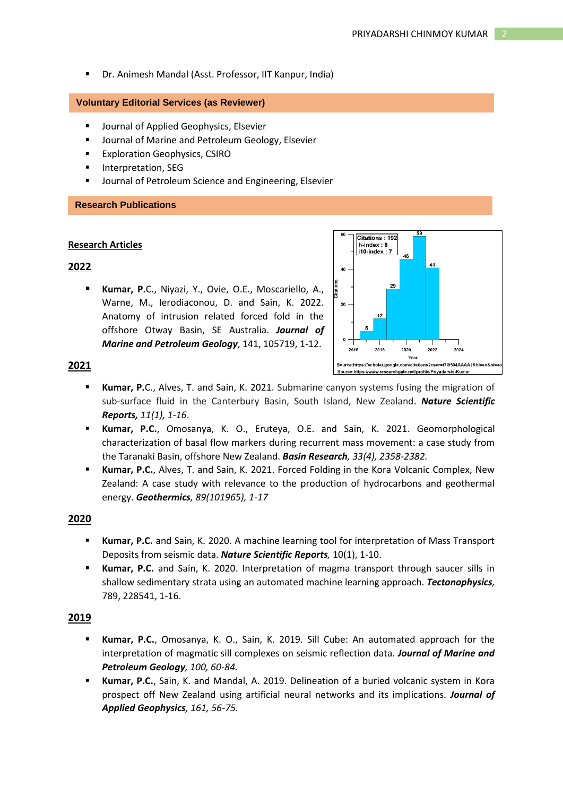Dr. Animesh Mandal (Asst. Professor, IIT Kanpur, India)

### **Voluntary Editorial Services (as Reviewer)**

- **UP** Journal of Applied Geophysics, Elsevier
- **Journal of Marine and Petroleum Geology, Elsevier**
- **Exploration Geophysics, CSIRO**
- Interpretation, SEG
- Journal of Petroleum Science and Engineering, Elsevier

### **Research Publications**

#### **Research Articles**

## **2022**

 **Kumar, P.**C., Niyazi, Y., Ovie, O.E., Moscariello, A., Warne, M., Ierodiaconou, D. and Sain, K. 2022. Anatomy of intrusion related forced fold in the offshore Otway Basin, SE Australia. *Journal of Marine and Petroleum Geology*, 141, 105719, 1-12.



## **2021**

- **Kumar, P.**C., Alves, T. and Sain, K. 2021. Submarine canyon systems fusing the migration of sub-surface fluid in the Canterbury Basin, South Island, New Zealand. *Nature Scientific Reports, 11(1), 1-16*.
- **Kumar, P.C.**, Omosanya, K. O., Eruteya, O.E. and Sain, K. 2021. Geomorphological characterization of basal flow markers during recurrent mass movement: a case study from the Taranaki Basin, offshore New Zealand. *Basin Research, 33(4), 2358-2382.*
- **Kumar, P.C.**, Alves, T. and Sain, K. 2021. Forced Folding in the Kora Volcanic Complex, New Zealand: A case study with relevance to the production of hydrocarbons and geothermal energy. *Geothermics, 89(101965), 1-17*

### **2020**

- **Kumar, P.C.** and Sain, K. 2020. A machine learning tool for interpretation of Mass Transport Deposits from seismic data. *Nature Scientific Reports,* 10(1), 1-10.
- **Kumar, P.C.** and Sain, K. 2020. Interpretation of magma transport through saucer sills in shallow sedimentary strata using an automated machine learning approach. *Tectonophysics,*  789, 228541, 1-16.

## **2019**

- **Kumar, P.C.**, Omosanya, K. O., Sain, K. 2019. Sill Cube: An automated approach for the interpretation of magmatic sill complexes on seismic reflection data. *Journal of Marine and Petroleum Geology, 100, 60-84.*
- **Kumar, P.C.**, Sain, K. and Mandal, A. 2019. Delineation of a buried volcanic system in Kora prospect off New Zealand using artificial neural networks and its implications. *Journal of Applied Geophysics, 161, 56-75.*